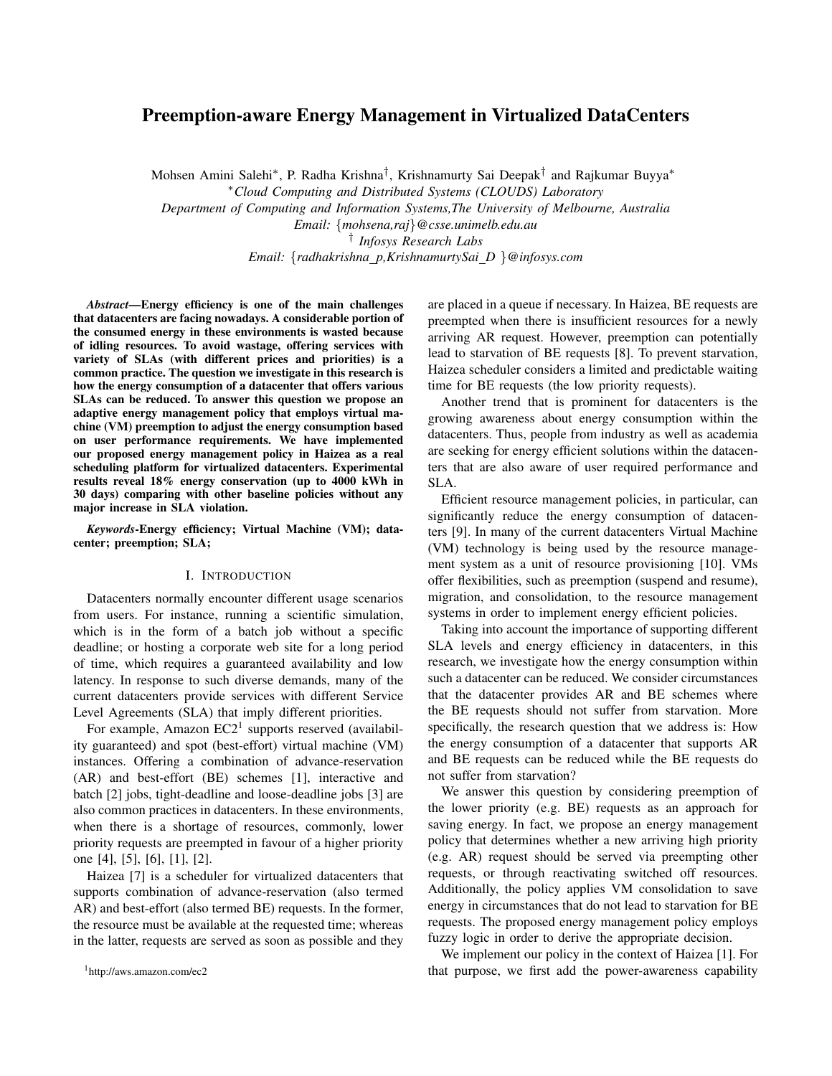# Preemption-aware Energy Management in Virtualized DataCenters

Mohsen Amini Salehi\*, P. Radha Krishna<sup>†</sup>, Krishnamurty Sai Deepak<sup>†</sup> and Rajkumar Buyya\*

<sup>∗</sup>*Cloud Computing and Distributed Systems (CLOUDS) Laboratory*

*Department of Computing and Information Systems,The University of Melbourne, Australia*

*Email:* {*mohsena,raj*}*@csse.unimelb.edu.au*

† *Infosys Research Labs*

*Email:* {*radhakrishna p,KrishnamurtySai D* }*@infosys.com*

*Abstract*—Energy efficiency is one of the main challenges that datacenters are facing nowadays. A considerable portion of the consumed energy in these environments is wasted because of idling resources. To avoid wastage, offering services with variety of SLAs (with different prices and priorities) is a common practice. The question we investigate in this research is how the energy consumption of a datacenter that offers various SLAs can be reduced. To answer this question we propose an adaptive energy management policy that employs virtual machine (VM) preemption to adjust the energy consumption based on user performance requirements. We have implemented our proposed energy management policy in Haizea as a real scheduling platform for virtualized datacenters. Experimental results reveal 18% energy conservation (up to 4000 kWh in 30 days) comparing with other baseline policies without any major increase in SLA violation.

*Keywords*-Energy efficiency; Virtual Machine (VM); datacenter; preemption; SLA;

### I. INTRODUCTION

Datacenters normally encounter different usage scenarios from users. For instance, running a scientific simulation, which is in the form of a batch job without a specific deadline; or hosting a corporate web site for a long period of time, which requires a guaranteed availability and low latency. In response to such diverse demands, many of the current datacenters provide services with different Service Level Agreements (SLA) that imply different priorities.

For example, Amazon  $EC2<sup>1</sup>$  supports reserved (availability guaranteed) and spot (best-effort) virtual machine (VM) instances. Offering a combination of advance-reservation (AR) and best-effort (BE) schemes [1], interactive and batch [2] jobs, tight-deadline and loose-deadline jobs [3] are also common practices in datacenters. In these environments, when there is a shortage of resources, commonly, lower priority requests are preempted in favour of a higher priority one [4], [5], [6], [1], [2].

Haizea [7] is a scheduler for virtualized datacenters that supports combination of advance-reservation (also termed AR) and best-effort (also termed BE) requests. In the former, the resource must be available at the requested time; whereas in the latter, requests are served as soon as possible and they are placed in a queue if necessary. In Haizea, BE requests are preempted when there is insufficient resources for a newly arriving AR request. However, preemption can potentially lead to starvation of BE requests [8]. To prevent starvation, Haizea scheduler considers a limited and predictable waiting time for BE requests (the low priority requests).

Another trend that is prominent for datacenters is the growing awareness about energy consumption within the datacenters. Thus, people from industry as well as academia are seeking for energy efficient solutions within the datacenters that are also aware of user required performance and SLA.

Efficient resource management policies, in particular, can significantly reduce the energy consumption of datacenters [9]. In many of the current datacenters Virtual Machine (VM) technology is being used by the resource management system as a unit of resource provisioning [10]. VMs offer flexibilities, such as preemption (suspend and resume), migration, and consolidation, to the resource management systems in order to implement energy efficient policies.

Taking into account the importance of supporting different SLA levels and energy efficiency in datacenters, in this research, we investigate how the energy consumption within such a datacenter can be reduced. We consider circumstances that the datacenter provides AR and BE schemes where the BE requests should not suffer from starvation. More specifically, the research question that we address is: How the energy consumption of a datacenter that supports AR and BE requests can be reduced while the BE requests do not suffer from starvation?

We answer this question by considering preemption of the lower priority (e.g. BE) requests as an approach for saving energy. In fact, we propose an energy management policy that determines whether a new arriving high priority (e.g. AR) request should be served via preempting other requests, or through reactivating switched off resources. Additionally, the policy applies VM consolidation to save energy in circumstances that do not lead to starvation for BE requests. The proposed energy management policy employs fuzzy logic in order to derive the appropriate decision.

We implement our policy in the context of Haizea [1]. For that purpose, we first add the power-awareness capability

<sup>1</sup>http://aws.amazon.com/ec2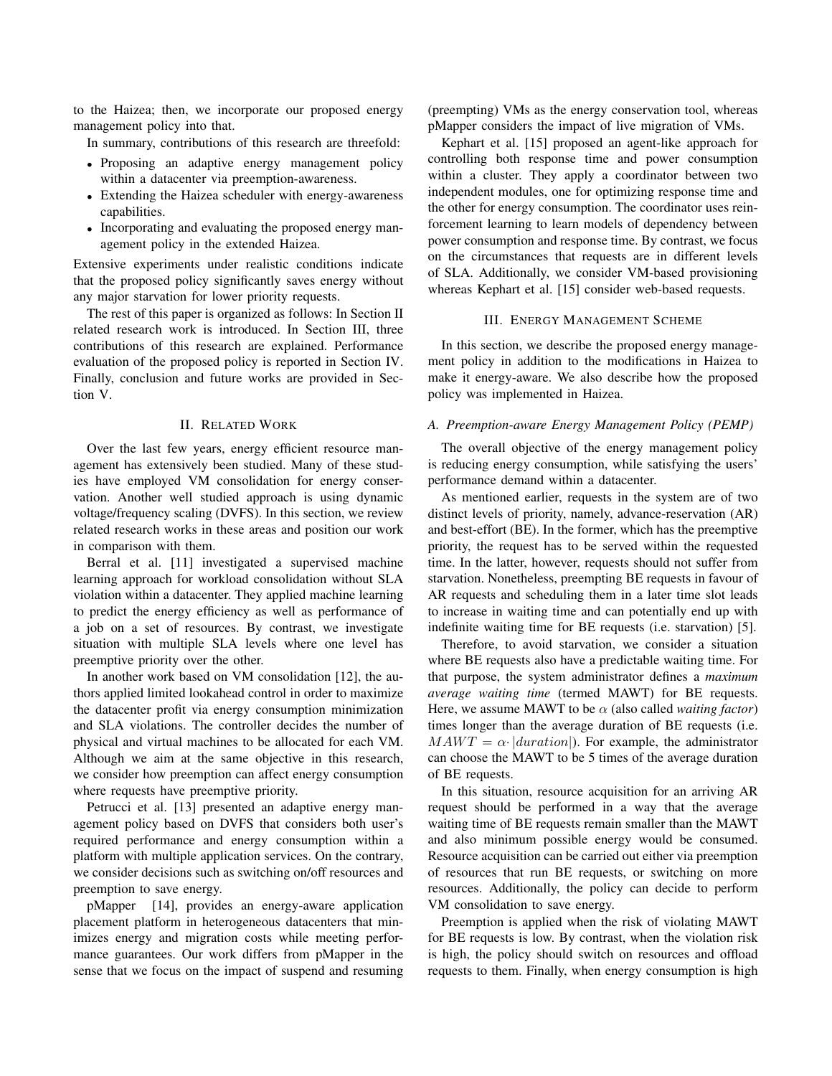to the Haizea; then, we incorporate our proposed energy management policy into that.

In summary, contributions of this research are threefold:

- Proposing an adaptive energy management policy within a datacenter via preemption-awareness.
- Extending the Haizea scheduler with energy-awareness capabilities.
- Incorporating and evaluating the proposed energy management policy in the extended Haizea.

Extensive experiments under realistic conditions indicate that the proposed policy significantly saves energy without any major starvation for lower priority requests.

The rest of this paper is organized as follows: In Section II related research work is introduced. In Section III, three contributions of this research are explained. Performance evaluation of the proposed policy is reported in Section IV. Finally, conclusion and future works are provided in Section V.

### II. RELATED WORK

Over the last few years, energy efficient resource management has extensively been studied. Many of these studies have employed VM consolidation for energy conservation. Another well studied approach is using dynamic voltage/frequency scaling (DVFS). In this section, we review related research works in these areas and position our work in comparison with them.

Berral et al. [11] investigated a supervised machine learning approach for workload consolidation without SLA violation within a datacenter. They applied machine learning to predict the energy efficiency as well as performance of a job on a set of resources. By contrast, we investigate situation with multiple SLA levels where one level has preemptive priority over the other.

In another work based on VM consolidation [12], the authors applied limited lookahead control in order to maximize the datacenter profit via energy consumption minimization and SLA violations. The controller decides the number of physical and virtual machines to be allocated for each VM. Although we aim at the same objective in this research, we consider how preemption can affect energy consumption where requests have preemptive priority.

Petrucci et al. [13] presented an adaptive energy management policy based on DVFS that considers both user's required performance and energy consumption within a platform with multiple application services. On the contrary, we consider decisions such as switching on/off resources and preemption to save energy.

pMapper [14], provides an energy-aware application placement platform in heterogeneous datacenters that minimizes energy and migration costs while meeting performance guarantees. Our work differs from pMapper in the sense that we focus on the impact of suspend and resuming (preempting) VMs as the energy conservation tool, whereas pMapper considers the impact of live migration of VMs.

Kephart et al. [15] proposed an agent-like approach for controlling both response time and power consumption within a cluster. They apply a coordinator between two independent modules, one for optimizing response time and the other for energy consumption. The coordinator uses reinforcement learning to learn models of dependency between power consumption and response time. By contrast, we focus on the circumstances that requests are in different levels of SLA. Additionally, we consider VM-based provisioning whereas Kephart et al. [15] consider web-based requests.

#### III. ENERGY MANAGEMENT SCHEME

In this section, we describe the proposed energy management policy in addition to the modifications in Haizea to make it energy-aware. We also describe how the proposed policy was implemented in Haizea.

# *A. Preemption-aware Energy Management Policy (PEMP)*

The overall objective of the energy management policy is reducing energy consumption, while satisfying the users' performance demand within a datacenter.

As mentioned earlier, requests in the system are of two distinct levels of priority, namely, advance-reservation (AR) and best-effort (BE). In the former, which has the preemptive priority, the request has to be served within the requested time. In the latter, however, requests should not suffer from starvation. Nonetheless, preempting BE requests in favour of AR requests and scheduling them in a later time slot leads to increase in waiting time and can potentially end up with indefinite waiting time for BE requests (i.e. starvation) [5].

Therefore, to avoid starvation, we consider a situation where BE requests also have a predictable waiting time. For that purpose, the system administrator defines a *maximum average waiting time* (termed MAWT) for BE requests. Here, we assume MAWT to be  $\alpha$  (also called *waiting factor*) times longer than the average duration of BE requests (i.e.  $MAWT = \alpha \cdot |duration|$ . For example, the administrator can choose the MAWT to be 5 times of the average duration of BE requests.

In this situation, resource acquisition for an arriving AR request should be performed in a way that the average waiting time of BE requests remain smaller than the MAWT and also minimum possible energy would be consumed. Resource acquisition can be carried out either via preemption of resources that run BE requests, or switching on more resources. Additionally, the policy can decide to perform VM consolidation to save energy.

Preemption is applied when the risk of violating MAWT for BE requests is low. By contrast, when the violation risk is high, the policy should switch on resources and offload requests to them. Finally, when energy consumption is high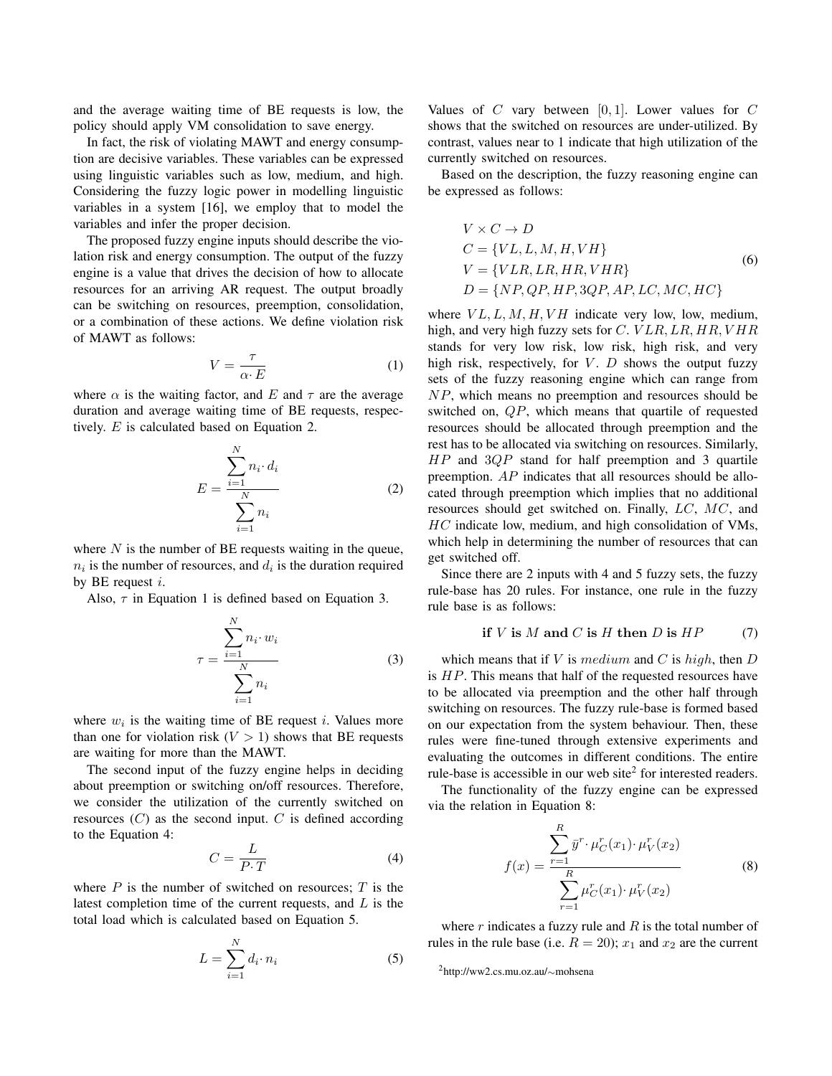and the average waiting time of BE requests is low, the policy should apply VM consolidation to save energy.

In fact, the risk of violating MAWT and energy consumption are decisive variables. These variables can be expressed using linguistic variables such as low, medium, and high. Considering the fuzzy logic power in modelling linguistic variables in a system [16], we employ that to model the variables and infer the proper decision.

The proposed fuzzy engine inputs should describe the violation risk and energy consumption. The output of the fuzzy engine is a value that drives the decision of how to allocate resources for an arriving AR request. The output broadly can be switching on resources, preemption, consolidation, or a combination of these actions. We define violation risk of MAWT as follows:

$$
V = \frac{\tau}{\alpha \cdot E} \tag{1}
$$

where  $\alpha$  is the waiting factor, and E and  $\tau$  are the average duration and average waiting time of BE requests, respectively. E is calculated based on Equation 2.

$$
E = \frac{\sum_{i=1}^{N} n_i \cdot d_i}{\sum_{i=1}^{N} n_i}
$$
 (2)

where  $N$  is the number of BE requests waiting in the queue,  $n_i$  is the number of resources, and  $d_i$  is the duration required by BE request  $i$ .

Also,  $\tau$  in Equation 1 is defined based on Equation 3.

$$
\tau = \frac{\sum_{i=1}^{N} n_i \cdot w_i}{\sum_{i=1}^{N} n_i} \tag{3}
$$

where  $w_i$  is the waiting time of BE request i. Values more than one for violation risk  $(V > 1)$  shows that BE requests are waiting for more than the MAWT.

The second input of the fuzzy engine helps in deciding about preemption or switching on/off resources. Therefore, we consider the utilization of the currently switched on resources  $(C)$  as the second input.  $C$  is defined according to the Equation 4:

$$
C = \frac{L}{P \cdot T} \tag{4}
$$

where  $P$  is the number of switched on resources;  $T$  is the latest completion time of the current requests, and L is the total load which is calculated based on Equation 5.

$$
L = \sum_{i=1}^{N} d_i \cdot n_i \tag{5}
$$

Values of  $C$  vary between  $[0, 1]$ . Lower values for  $C$ shows that the switched on resources are under-utilized. By contrast, values near to 1 indicate that high utilization of the currently switched on resources.

Based on the description, the fuzzy reasoning engine can be expressed as follows:

$$
V \times C \to D
$$
  
\n
$$
C = \{VL, L, M, H, VH\}
$$
  
\n
$$
V = \{VLR, LR, HR, VHR\}
$$
  
\n
$$
D = \{NP, QP, HP, 3QP, AP, LC, MC, HC\}
$$
\n(6)

where  $VL, L, M, H, VH$  indicate very low, low, medium, high, and very high fuzzy sets for  $C. VLR, LR, HR, VHR$ stands for very low risk, low risk, high risk, and very high risk, respectively, for  $V$ .  $D$  shows the output fuzzy sets of the fuzzy reasoning engine which can range from NP, which means no preemption and resources should be switched on, QP, which means that quartile of requested resources should be allocated through preemption and the rest has to be allocated via switching on resources. Similarly,  $HP$  and  $3QP$  stand for half preemption and 3 quartile preemption. AP indicates that all resources should be allocated through preemption which implies that no additional resources should get switched on. Finally, LC, MC, and  $HC$  indicate low, medium, and high consolidation of VMs, which help in determining the number of resources that can get switched off.

Since there are 2 inputs with 4 and 5 fuzzy sets, the fuzzy rule-base has 20 rules. For instance, one rule in the fuzzy rule base is as follows:

if V is M and C is H then D is 
$$
HP
$$
 (7)

which means that if  $V$  is medium and  $C$  is high, then  $D$ is HP. This means that half of the requested resources have to be allocated via preemption and the other half through switching on resources. The fuzzy rule-base is formed based on our expectation from the system behaviour. Then, these rules were fine-tuned through extensive experiments and evaluating the outcomes in different conditions. The entire rule-base is accessible in our web site<sup>2</sup> for interested readers.

The functionality of the fuzzy engine can be expressed via the relation in Equation 8:

$$
f(x) = \frac{\sum_{r=1}^{R} \bar{y}^{r} \cdot \mu_{C}^{r}(x_{1}) \cdot \mu_{V}^{r}(x_{2})}{\sum_{r=1}^{R} \mu_{C}^{r}(x_{1}) \cdot \mu_{V}^{r}(x_{2})}
$$
(8)

where  $r$  indicates a fuzzy rule and  $R$  is the total number of rules in the rule base (i.e.  $R = 20$ );  $x_1$  and  $x_2$  are the current

<sup>2</sup>http://ww2.cs.mu.oz.au/∼mohsena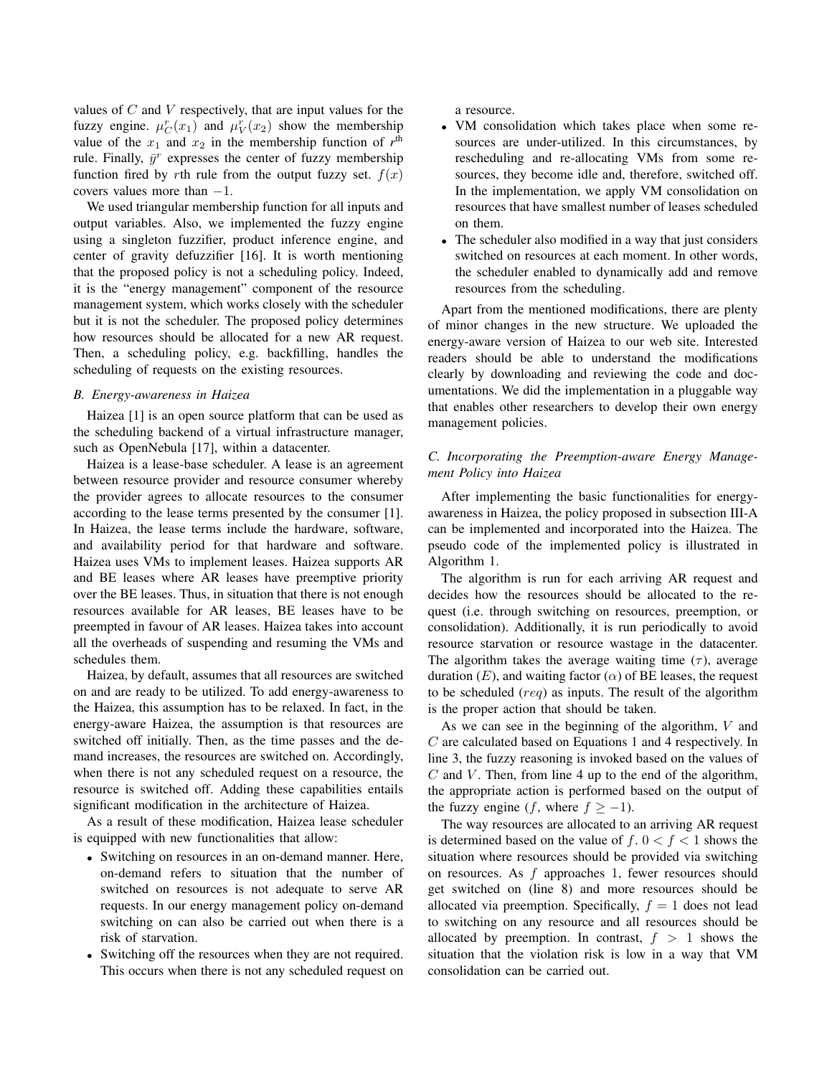values of  $C$  and  $V$  respectively, that are input values for the fuzzy engine.  $\mu_C^r(x_1)$  and  $\mu_V^r(x_2)$  show the membership value of the  $x_1$  and  $x_2$  in the membership function of  $r<sup>th</sup>$ rule. Finally,  $\bar{y}^r$  expresses the center of fuzzy membership function fired by rth rule from the output fuzzy set.  $f(x)$ covers values more than −1.

We used triangular membership function for all inputs and output variables. Also, we implemented the fuzzy engine using a singleton fuzzifier, product inference engine, and center of gravity defuzzifier [16]. It is worth mentioning that the proposed policy is not a scheduling policy. Indeed, it is the "energy management" component of the resource management system, which works closely with the scheduler but it is not the scheduler. The proposed policy determines how resources should be allocated for a new AR request. Then, a scheduling policy, e.g. backfilling, handles the scheduling of requests on the existing resources.

### *B. Energy-awareness in Haizea*

Haizea [1] is an open source platform that can be used as the scheduling backend of a virtual infrastructure manager, such as OpenNebula [17], within a datacenter.

Haizea is a lease-base scheduler. A lease is an agreement between resource provider and resource consumer whereby the provider agrees to allocate resources to the consumer according to the lease terms presented by the consumer [1]. In Haizea, the lease terms include the hardware, software, and availability period for that hardware and software. Haizea uses VMs to implement leases. Haizea supports AR and BE leases where AR leases have preemptive priority over the BE leases. Thus, in situation that there is not enough resources available for AR leases, BE leases have to be preempted in favour of AR leases. Haizea takes into account all the overheads of suspending and resuming the VMs and schedules them.

Haizea, by default, assumes that all resources are switched on and are ready to be utilized. To add energy-awareness to the Haizea, this assumption has to be relaxed. In fact, in the energy-aware Haizea, the assumption is that resources are switched off initially. Then, as the time passes and the demand increases, the resources are switched on. Accordingly, when there is not any scheduled request on a resource, the resource is switched off. Adding these capabilities entails significant modification in the architecture of Haizea.

As a result of these modification, Haizea lease scheduler is equipped with new functionalities that allow:

- Switching on resources in an on-demand manner. Here, on-demand refers to situation that the number of switched on resources is not adequate to serve AR requests. In our energy management policy on-demand switching on can also be carried out when there is a risk of starvation.
- Switching off the resources when they are not required. This occurs when there is not any scheduled request on

a resource.

- VM consolidation which takes place when some resources are under-utilized. In this circumstances, by rescheduling and re-allocating VMs from some resources, they become idle and, therefore, switched off. In the implementation, we apply VM consolidation on resources that have smallest number of leases scheduled on them.
- The scheduler also modified in a way that just considers switched on resources at each moment. In other words, the scheduler enabled to dynamically add and remove resources from the scheduling.

Apart from the mentioned modifications, there are plenty of minor changes in the new structure. We uploaded the energy-aware version of Haizea to our web site. Interested readers should be able to understand the modifications clearly by downloading and reviewing the code and documentations. We did the implementation in a pluggable way that enables other researchers to develop their own energy management policies.

# *C. Incorporating the Preemption-aware Energy Management Policy into Haizea*

After implementing the basic functionalities for energyawareness in Haizea, the policy proposed in subsection III-A can be implemented and incorporated into the Haizea. The pseudo code of the implemented policy is illustrated in Algorithm 1.

The algorithm is run for each arriving AR request and decides how the resources should be allocated to the request (i.e. through switching on resources, preemption, or consolidation). Additionally, it is run periodically to avoid resource starvation or resource wastage in the datacenter. The algorithm takes the average waiting time  $(\tau)$ , average duration  $(E)$ , and waiting factor  $(\alpha)$  of BE leases, the request to be scheduled  $(\text{req})$  as inputs. The result of the algorithm is the proper action that should be taken.

As we can see in the beginning of the algorithm, V and C are calculated based on Equations 1 and 4 respectively. In line 3, the fuzzy reasoning is invoked based on the values of  $C$  and  $V$ . Then, from line 4 up to the end of the algorithm, the appropriate action is performed based on the output of the fuzzy engine (f, where  $f \ge -1$ ).

The way resources are allocated to an arriving AR request is determined based on the value of  $f, 0 < f < 1$  shows the situation where resources should be provided via switching on resources. As f approaches 1, fewer resources should get switched on (line 8) and more resources should be allocated via preemption. Specifically,  $f = 1$  does not lead to switching on any resource and all resources should be allocated by preemption. In contrast,  $f > 1$  shows the situation that the violation risk is low in a way that VM consolidation can be carried out.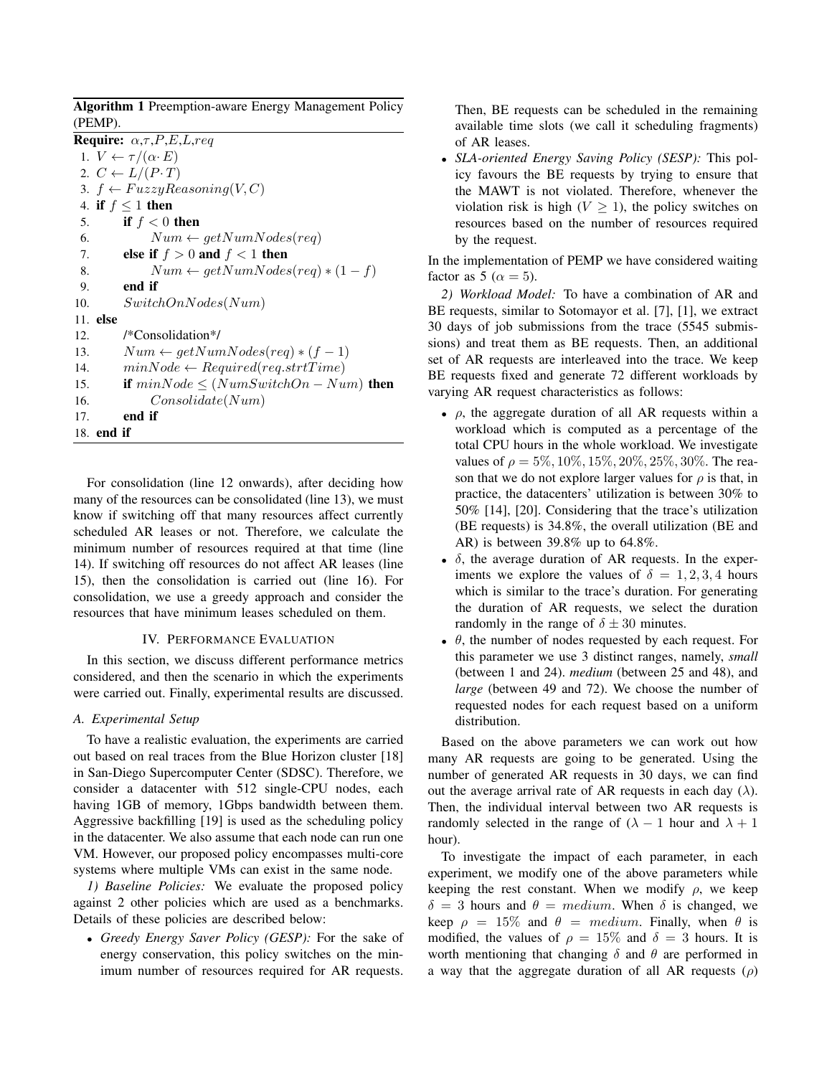Algorithm 1 Preemption-aware Energy Management Policy (PEMP).

**Require:**  $\alpha, \tau, P, E, L, req$ 1.  $V \leftarrow \tau/(\alpha \cdot E)$ 2.  $C \leftarrow L/(P \cdot T)$ 3.  $f \leftarrow FuzzyReasoning(V, C)$ 4. if  $f \leq 1$  then 5. if  $f < 0$  then 6.  $Num \leftarrow getNumNodes (req)$ 7. else if  $f > 0$  and  $f < 1$  then 8.  $Num \leftarrow getNumNodes (req) * (1 - f)$ 9. end if 10. SwitchOnNodes(Num) 11. else 12. /\*Consolidation\*/ 13.  $Num \leftarrow getNumNodes (req) * (f - 1)$ 14.  $minNode \leftarrow Required (reg.start Time)$ 15. if  $minNode \leq (NumSwitchOn - Num)$  then 16. Consolidate(Num) 17. end if 18. end if

For consolidation (line 12 onwards), after deciding how many of the resources can be consolidated (line 13), we must know if switching off that many resources affect currently scheduled AR leases or not. Therefore, we calculate the minimum number of resources required at that time (line 14). If switching off resources do not affect AR leases (line 15), then the consolidation is carried out (line 16). For consolidation, we use a greedy approach and consider the resources that have minimum leases scheduled on them.

### IV. PERFORMANCE EVALUATION

In this section, we discuss different performance metrics considered, and then the scenario in which the experiments were carried out. Finally, experimental results are discussed.

#### *A. Experimental Setup*

To have a realistic evaluation, the experiments are carried out based on real traces from the Blue Horizon cluster [18] in San-Diego Supercomputer Center (SDSC). Therefore, we consider a datacenter with 512 single-CPU nodes, each having 1GB of memory, 1Gbps bandwidth between them. Aggressive backfilling [19] is used as the scheduling policy in the datacenter. We also assume that each node can run one VM. However, our proposed policy encompasses multi-core systems where multiple VMs can exist in the same node.

*1) Baseline Policies:* We evaluate the proposed policy against 2 other policies which are used as a benchmarks. Details of these policies are described below:

• *Greedy Energy Saver Policy (GESP):* For the sake of energy conservation, this policy switches on the minimum number of resources required for AR requests. Then, BE requests can be scheduled in the remaining available time slots (we call it scheduling fragments) of AR leases.

• *SLA-oriented Energy Saving Policy (SESP):* This policy favours the BE requests by trying to ensure that the MAWT is not violated. Therefore, whenever the violation risk is high ( $V \geq 1$ ), the policy switches on resources based on the number of resources required by the request.

In the implementation of PEMP we have considered waiting factor as 5 ( $\alpha = 5$ ).

*2) Workload Model:* To have a combination of AR and BE requests, similar to Sotomayor et al. [7], [1], we extract 30 days of job submissions from the trace (5545 submissions) and treat them as BE requests. Then, an additional set of AR requests are interleaved into the trace. We keep BE requests fixed and generate 72 different workloads by varying AR request characteristics as follows:

- $\rho$ , the aggregate duration of all AR requests within a workload which is computed as a percentage of the total CPU hours in the whole workload. We investigate values of  $\rho = 5\%, 10\%, 15\%, 20\%, 25\%, 30\%$ . The reason that we do not explore larger values for  $\rho$  is that, in practice, the datacenters' utilization is between 30% to 50% [14], [20]. Considering that the trace's utilization (BE requests) is 34.8%, the overall utilization (BE and AR) is between 39.8% up to 64.8%.
- $\delta$ , the average duration of AR requests. In the experiments we explore the values of  $\delta = 1, 2, 3, 4$  hours which is similar to the trace's duration. For generating the duration of AR requests, we select the duration randomly in the range of  $\delta \pm 30$  minutes.
- $\theta$ , the number of nodes requested by each request. For this parameter we use 3 distinct ranges, namely, *small* (between 1 and 24). *medium* (between 25 and 48), and *large* (between 49 and 72). We choose the number of requested nodes for each request based on a uniform distribution.

Based on the above parameters we can work out how many AR requests are going to be generated. Using the number of generated AR requests in 30 days, we can find out the average arrival rate of AR requests in each day  $(\lambda)$ . Then, the individual interval between two AR requests is randomly selected in the range of  $(\lambda - 1)$  hour and  $\lambda + 1$ hour).

To investigate the impact of each parameter, in each experiment, we modify one of the above parameters while keeping the rest constant. When we modify  $\rho$ , we keep  $\delta = 3$  hours and  $\theta = \text{medium}$ . When  $\delta$  is changed, we keep  $\rho = 15\%$  and  $\theta = \text{medium}$ . Finally, when  $\theta$  is modified, the values of  $\rho = 15\%$  and  $\delta = 3$  hours. It is worth mentioning that changing  $\delta$  and  $\theta$  are performed in a way that the aggregate duration of all AR requests  $(\rho)$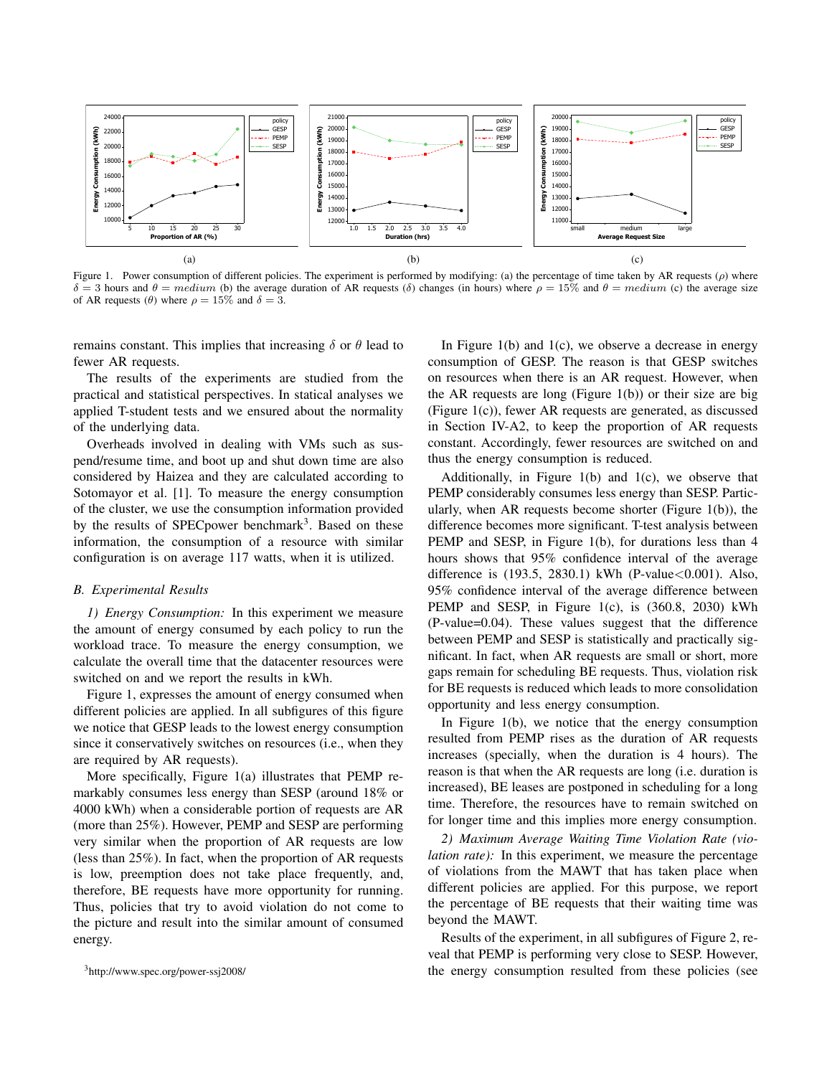

Figure 1. Power consumption of different policies. The experiment is performed by modifying: (a) the percentage of time taken by AR requests  $(\rho)$  where  $\delta$  = 3 hours and  $\theta$  = medium (b) the average duration of AR requests (δ) changes (in hours) where  $\rho$  = 15% and  $\theta$  = medium (c) the average size of AR requests ( $\theta$ ) where  $\rho = 15\%$  and  $\delta = 3$ .

remains constant. This implies that increasing  $\delta$  or  $\theta$  lead to fewer AR requests.

The results of the experiments are studied from the practical and statistical perspectives. In statical analyses we applied T-student tests and we ensured about the normality of the underlying data.

Overheads involved in dealing with VMs such as suspend/resume time, and boot up and shut down time are also considered by Haizea and they are calculated according to Sotomayor et al. [1]. To measure the energy consumption of the cluster, we use the consumption information provided by the results of SPECpower benchmark<sup>3</sup>. Based on these information, the consumption of a resource with similar configuration is on average 117 watts, when it is utilized.

### *B. Experimental Results*

*1) Energy Consumption:* In this experiment we measure the amount of energy consumed by each policy to run the workload trace. To measure the energy consumption, we calculate the overall time that the datacenter resources were switched on and we report the results in kWh.

Figure 1, expresses the amount of energy consumed when different policies are applied. In all subfigures of this figure we notice that GESP leads to the lowest energy consumption since it conservatively switches on resources (i.e., when they are required by AR requests).

More specifically, Figure 1(a) illustrates that PEMP remarkably consumes less energy than SESP (around 18% or 4000 kWh) when a considerable portion of requests are AR (more than 25%). However, PEMP and SESP are performing very similar when the proportion of AR requests are low (less than 25%). In fact, when the proportion of AR requests is low, preemption does not take place frequently, and, therefore, BE requests have more opportunity for running. Thus, policies that try to avoid violation do not come to the picture and result into the similar amount of consumed energy.

In Figure 1(b) and 1(c), we observe a decrease in energy consumption of GESP. The reason is that GESP switches on resources when there is an AR request. However, when the AR requests are long (Figure  $1(b)$ ) or their size are big (Figure 1(c)), fewer AR requests are generated, as discussed in Section IV-A2, to keep the proportion of AR requests constant. Accordingly, fewer resources are switched on and thus the energy consumption is reduced.

Additionally, in Figure 1(b) and 1(c), we observe that PEMP considerably consumes less energy than SESP. Particularly, when AR requests become shorter (Figure 1(b)), the difference becomes more significant. T-test analysis between PEMP and SESP, in Figure 1(b), for durations less than 4 hours shows that 95% confidence interval of the average difference is  $(193.5, 2830.1)$  kWh  $(P-value<0.001)$ . Also, 95% confidence interval of the average difference between PEMP and SESP, in Figure 1(c), is (360.8, 2030) kWh (P-value=0.04). These values suggest that the difference between PEMP and SESP is statistically and practically significant. In fact, when AR requests are small or short, more gaps remain for scheduling BE requests. Thus, violation risk for BE requests is reduced which leads to more consolidation opportunity and less energy consumption.

In Figure 1(b), we notice that the energy consumption resulted from PEMP rises as the duration of AR requests increases (specially, when the duration is 4 hours). The reason is that when the AR requests are long (i.e. duration is increased), BE leases are postponed in scheduling for a long time. Therefore, the resources have to remain switched on for longer time and this implies more energy consumption.

*2) Maximum Average Waiting Time Violation Rate (violation rate*): In this experiment, we measure the percentage of violations from the MAWT that has taken place when different policies are applied. For this purpose, we report the percentage of BE requests that their waiting time was beyond the MAWT.

Results of the experiment, in all subfigures of Figure 2, reveal that PEMP is performing very close to SESP. However, the energy consumption resulted from these policies (see

<sup>3</sup>http://www.spec.org/power-ssj2008/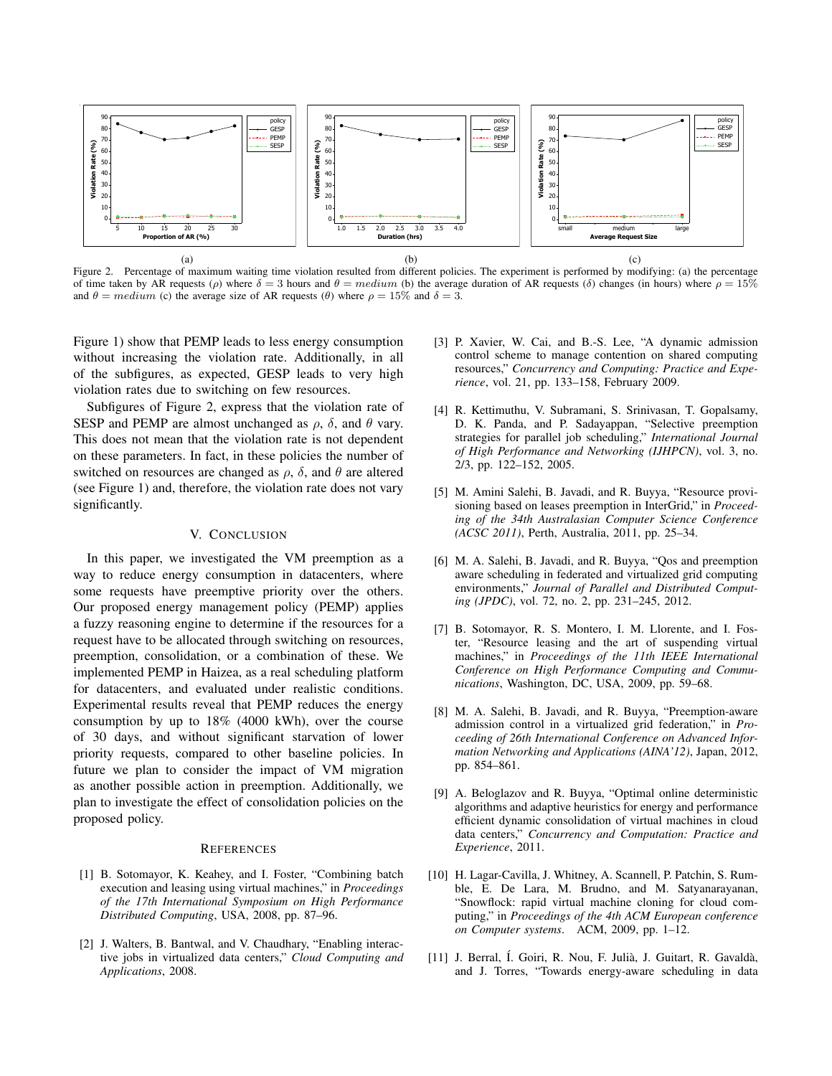

Figure 2. Percentage of maximum waiting time violation resulted from different policies. The experiment is performed by modifying: (a) the percentage of time taken by AR requests ( $\rho$ ) where  $\delta = 3$  hours and  $\theta = \text{medium}$  (b) the average duration of AR requests ( $\delta$ ) changes (in hours) where  $\rho = 15\%$ and  $\theta = \text{medium}$  (c) the average size of AR requests ( $\theta$ ) where  $\rho = 15\%$  and  $\delta = 3$ .

Figure 1) show that PEMP leads to less energy consumption without increasing the violation rate. Additionally, in all of the subfigures, as expected, GESP leads to very high violation rates due to switching on few resources.

Subfigures of Figure 2, express that the violation rate of SESP and PEMP are almost unchanged as  $\rho$ ,  $\delta$ , and  $\theta$  vary. This does not mean that the violation rate is not dependent on these parameters. In fact, in these policies the number of switched on resources are changed as  $\rho$ ,  $\delta$ , and  $\theta$  are altered (see Figure 1) and, therefore, the violation rate does not vary significantly.

### V. CONCLUSION

In this paper, we investigated the VM preemption as a way to reduce energy consumption in datacenters, where some requests have preemptive priority over the others. Our proposed energy management policy (PEMP) applies a fuzzy reasoning engine to determine if the resources for a request have to be allocated through switching on resources, preemption, consolidation, or a combination of these. We implemented PEMP in Haizea, as a real scheduling platform for datacenters, and evaluated under realistic conditions. Experimental results reveal that PEMP reduces the energy consumption by up to 18% (4000 kWh), over the course of 30 days, and without significant starvation of lower priority requests, compared to other baseline policies. In future we plan to consider the impact of VM migration as another possible action in preemption. Additionally, we plan to investigate the effect of consolidation policies on the proposed policy.

#### **REFERENCES**

- [1] B. Sotomayor, K. Keahey, and I. Foster, "Combining batch execution and leasing using virtual machines," in *Proceedings of the 17th International Symposium on High Performance Distributed Computing*, USA, 2008, pp. 87–96.
- [2] J. Walters, B. Bantwal, and V. Chaudhary, "Enabling interactive jobs in virtualized data centers," *Cloud Computing and Applications*, 2008.
- [3] P. Xavier, W. Cai, and B.-S. Lee, "A dynamic admission control scheme to manage contention on shared computing resources," *Concurrency and Computing: Practice and Experience*, vol. 21, pp. 133–158, February 2009.
- [4] R. Kettimuthu, V. Subramani, S. Srinivasan, T. Gopalsamy, D. K. Panda, and P. Sadayappan, "Selective preemption strategies for parallel job scheduling," *International Journal of High Performance and Networking (IJHPCN)*, vol. 3, no. 2/3, pp. 122–152, 2005.
- [5] M. Amini Salehi, B. Javadi, and R. Buyya, "Resource provisioning based on leases preemption in InterGrid," in *Proceeding of the 34th Australasian Computer Science Conference (ACSC 2011)*, Perth, Australia, 2011, pp. 25–34.
- [6] M. A. Salehi, B. Javadi, and R. Buyya, "Qos and preemption aware scheduling in federated and virtualized grid computing environments," *Journal of Parallel and Distributed Computing (JPDC)*, vol. 72, no. 2, pp. 231–245, 2012.
- [7] B. Sotomayor, R. S. Montero, I. M. Llorente, and I. Foster, "Resource leasing and the art of suspending virtual machines," in *Proceedings of the 11th IEEE International Conference on High Performance Computing and Communications*, Washington, DC, USA, 2009, pp. 59–68.
- [8] M. A. Salehi, B. Javadi, and R. Buyya, "Preemption-aware admission control in a virtualized grid federation," in *Proceeding of 26th International Conference on Advanced Information Networking and Applications (AINA'12)*, Japan, 2012, pp. 854–861.
- [9] A. Beloglazov and R. Buyya, "Optimal online deterministic algorithms and adaptive heuristics for energy and performance efficient dynamic consolidation of virtual machines in cloud data centers," *Concurrency and Computation: Practice and Experience*, 2011.
- [10] H. Lagar-Cavilla, J. Whitney, A. Scannell, P. Patchin, S. Rumble, E. De Lara, M. Brudno, and M. Satyanarayanan, "Snowflock: rapid virtual machine cloning for cloud computing," in *Proceedings of the 4th ACM European conference on Computer systems*. ACM, 2009, pp. 1–12.
- [11] J. Berral, Í. Goiri, R. Nou, F. Julià, J. Guitart, R. Gavaldà, and J. Torres, "Towards energy-aware scheduling in data